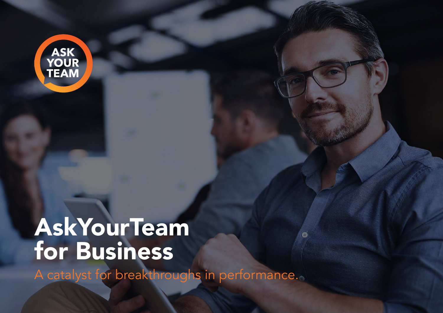

# **AskYourTeam** for Business

A catalyst for breakthroughs in performance.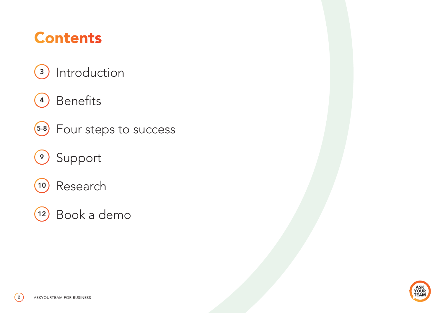# Contents

- 3) Introduction
- <sup>4</sup>) Benefits
- 5-8 Four steps to success
- <sup>9</sup> Support
- <sup>10</sup> Research
- <sup>12</sup> Book a demo



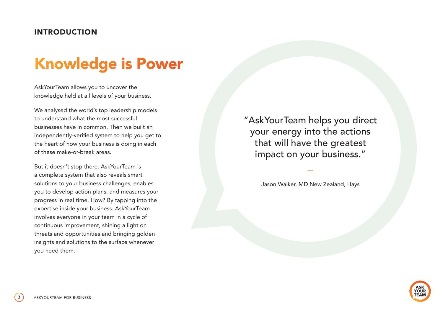#### INTRODUCTION

# Knowledge is Power

AskYourTeam allows you to uncover the knowledge held at all levels of your business.

We analysed the world's top leadership models to understand what the most successful businesses have in common. Then we built an independently-verified system to help you get to the heart of how your business is doing in each of these make-or-break areas.

But it doesn't stop there. AskYourTeam is a complete system that also reveals smart solutions to your business challenges, enables you to develop action plans, and measures your progress in real time. How? By tapping into the expertise inside your business. AskYourTeam involves everyone in your team in a cycle of continuous improvement, shining a light on threats and opportunities and bringing golden insights and solutions to the surface whenever you need them.

"AskYourTeam helps you direct your energy into the actions that will have the greatest impact on your business."

Jason Walker, MD New Zealand, Hays

—

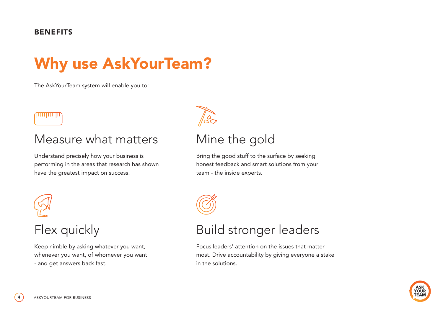#### **BENEFITS**

# Why use AskYourTeam?

The AskYourTeam system will enable you to:

### **TILLULULUI**

### Measure what matters

Understand precisely how your business is performing in the areas that research has shown have the greatest impact on success.



### Flex quickly

Keep nimble by asking whatever you want, whenever you want, of whomever you want - and get answers back fast.



### Mine the gold

Bring the good stuff to the surface by seeking honest feedback and smart solutions from your team - the inside experts.



### Build stronger leaders

Focus leaders' attention on the issues that matter most. Drive accountability by giving everyone a stake in the solutions.

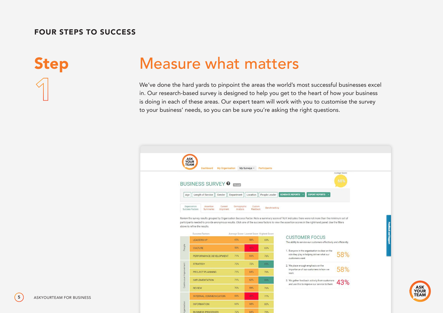### **Step Measure what matters**

We've done the hard yards to pinpoint the areas the world's most successful businesses excel in. Our research-based survey is designed to help you get to the heart of how your business is doing in each of these areas. Our expert team will work with you to customise the survey to your business' needs, so you can be sure you're asking the right questions.



**ASK** 

**YOUR TEAM**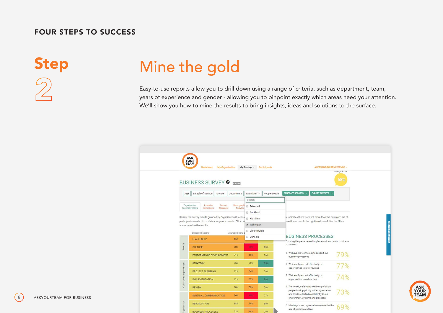# Step Mine the gold

Easy-to-use reports allow you to drill down using a range of criteria, such as department, team, years of experience and gender - allowing you to pinpoint exactly which areas need your attention. We'll show you how to mine the results to bring insights, ideas and solutions to the surface.

| BUSINESS SURVEY <sup>0</sup><br>Closed<br><b>GENERATE REPORTS</b><br><b>EXPORT REPORTS .</b><br>Length of Service<br>Location (1)<br>People Leader<br>Gender<br>Department<br>Age<br>Search<br>Organisation<br>Assertion<br>Current<br>Demographi<br>Select all<br>Success Factors<br>Analysis<br>Summaries<br>Alignment<br>Auckland<br>Review the survey results grouped by Organisation Success<br>A' indicates there were not more than the minimum set of<br><b>Hamilton</b><br>participants needed to provide anonymous results. Click on<br>ssertion scores in the right-hand panel. Use the filters<br>■ Wellington<br>above to refine the results.<br>Christchurch<br>Success Factors<br>Average Score<br><b>BUSINESS PROCESSES</b> | Average Score:<br>68% |
|---------------------------------------------------------------------------------------------------------------------------------------------------------------------------------------------------------------------------------------------------------------------------------------------------------------------------------------------------------------------------------------------------------------------------------------------------------------------------------------------------------------------------------------------------------------------------------------------------------------------------------------------------------------------------------------------------------------------------------------------|-----------------------|
|                                                                                                                                                                                                                                                                                                                                                                                                                                                                                                                                                                                                                                                                                                                                             |                       |
|                                                                                                                                                                                                                                                                                                                                                                                                                                                                                                                                                                                                                                                                                                                                             |                       |
|                                                                                                                                                                                                                                                                                                                                                                                                                                                                                                                                                                                                                                                                                                                                             |                       |
|                                                                                                                                                                                                                                                                                                                                                                                                                                                                                                                                                                                                                                                                                                                                             |                       |
|                                                                                                                                                                                                                                                                                                                                                                                                                                                                                                                                                                                                                                                                                                                                             |                       |
|                                                                                                                                                                                                                                                                                                                                                                                                                                                                                                                                                                                                                                                                                                                                             |                       |
|                                                                                                                                                                                                                                                                                                                                                                                                                                                                                                                                                                                                                                                                                                                                             |                       |
|                                                                                                                                                                                                                                                                                                                                                                                                                                                                                                                                                                                                                                                                                                                                             |                       |
| Dunedin<br>65%<br>LEADERSHIP                                                                                                                                                                                                                                                                                                                                                                                                                                                                                                                                                                                                                                                                                                                |                       |
| Ensuring the presence and implementation of sound business<br>processes                                                                                                                                                                                                                                                                                                                                                                                                                                                                                                                                                                                                                                                                     |                       |
| People<br>58%<br>42%<br><b>CULTURE</b><br>83%                                                                                                                                                                                                                                                                                                                                                                                                                                                                                                                                                                                                                                                                                               |                       |
| 1. We have the technology to support our<br>65%<br>71%<br>PERFORMANCE DEVELOPMENT<br>76%<br>business processes                                                                                                                                                                                                                                                                                                                                                                                                                                                                                                                                                                                                                              | 79%                   |
| 75%<br>72%<br>85%<br><b>STRATEGY</b><br>2. We identify and act effectively on                                                                                                                                                                                                                                                                                                                                                                                                                                                                                                                                                                                                                                                               |                       |
| opportunities to grow revenue<br>71%<br>64%<br>76%<br>PROJECT PLANNING                                                                                                                                                                                                                                                                                                                                                                                                                                                                                                                                                                                                                                                                      | 77%                   |
| Continuous Improvement<br>3. We identify and act effectively on<br>71%<br>62%<br>opportunities to reduce cost<br><b>IMPLEMENTATION</b><br>86%                                                                                                                                                                                                                                                                                                                                                                                                                                                                                                                                                                                               | 74%                   |
| 4. The health, safety and well being of all our<br>70%<br>59%<br>76%<br><b>REVIEW</b>                                                                                                                                                                                                                                                                                                                                                                                                                                                                                                                                                                                                                                                       |                       |
| people is a top priority in the organisation<br>and this is reflected consistently in our<br>66%<br>49%                                                                                                                                                                                                                                                                                                                                                                                                                                                                                                                                                                                                                                     | 73%                   |
| INTERNAL COMMUNICATION<br>77%<br>environment, systems and processes<br>anisation                                                                                                                                                                                                                                                                                                                                                                                                                                                                                                                                                                                                                                                            |                       |

**ASK YOUR TEAM** 

**6** ASKYOURTEAM FOR BUSINESS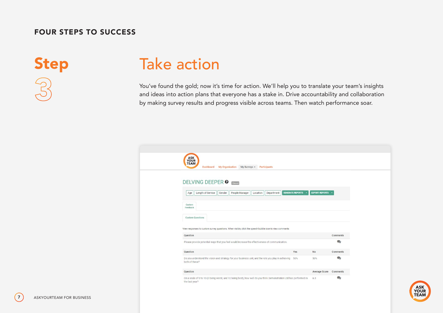Step Take action

You've found the gold; now it's time for action. We'll help you to translate your team's insights and ideas into action plans that everyone has a stake in. Drive accountability and collaboration by making survey results and progress visible across teams. Then watch performance soar.

| ASK<br>YOUR<br>TEAM<br>Dashboard<br><b>My Organisation</b><br>My Surveys -<br>Participants                                           |                         |           |
|--------------------------------------------------------------------------------------------------------------------------------------|-------------------------|-----------|
| <b>DELVING DEEPER &amp; GIOSBET</b>                                                                                                  |                         |           |
| <b>GENERATE REPORTS</b><br>Length of Service<br>People Manager<br>Department<br>Gender<br>Location<br>Age                            | <b>EXPORT REPORTS -</b> |           |
| Custom<br>Feedback                                                                                                                   |                         |           |
| <b>Custom Questions</b>                                                                                                              |                         |           |
| View responses to custom survey questions. When visible, click the speech bubble icon to view comments                               |                         |           |
| Question                                                                                                                             |                         | Comments  |
| Please provide potential ways that you feel would increase the effectiveness of communication.                                       |                         | $\bullet$ |
| Question<br>Yes                                                                                                                      | No                      | Comments  |
| Do you understand the vision and strategy for your business unit, and the role you play in achieving 50%<br>both of these?           | 50%                     | $\bullet$ |
| Question                                                                                                                             | Average Score Comments  |           |
| On a scale of 0 to 10 (0 being worst, and 10 being best), how well do you think Demonstration Ltd has performed in<br>the last year? | 6.3                     | $\bullet$ |

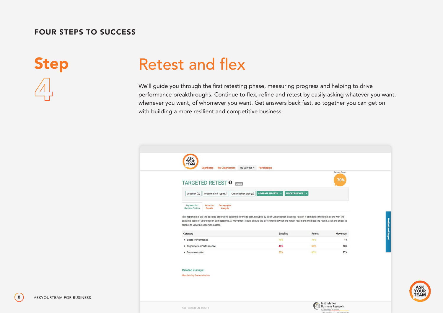## Step Retest and flex

We'll guide you through the first retesting phase, measuring progress and helping to drive performance breakthroughs. Continue to flex, refine and retest by easily asking whatever you want, whenever you want, of whomever you want. Get answers back fast, so together you can get on with building a more resilient and competitive business.



Institute for **Business Research** 

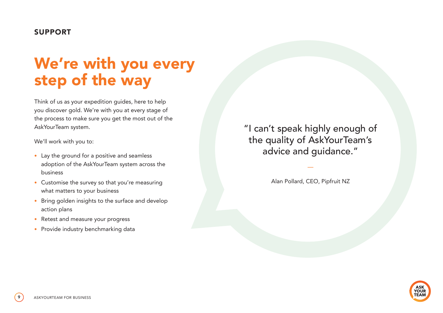#### SUPPORT

## We're with you every step of the way

Think of us as your expedition guides, here to help you discover gold. We're with you at every stage of the process to make sure you get the most out of the AskYourTeam system.

We'll work with you to:

- Lay the ground for a positive and seamless adoption of the AskYourTeam system across the business
- Customise the survey so that you're measuring what matters to your business
- Bring golden insights to the surface and develop action plans
- Retest and measure your progress
- Provide industry benchmarking data

"I can't speak highly enough of the quality of AskYourTeam's advice and guidance."

Alan Pollard, CEO, Pipfruit NZ

—

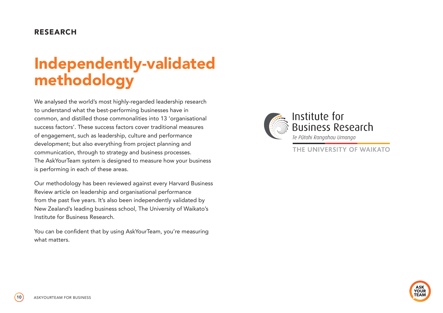#### RESEARCH

# Independently-validated methodology

We analysed the world's most highly-regarded leadership research to understand what the best-performing businesses have in common, and distilled those commonalities into 13 'organisational success factors'. These success factors cover traditional measures of engagement, such as leadership, culture and performance development; but also everything from project planning and communication, through to strategy and business processes. The AskYourTeam system is designed to measure how your business is performing in each of these areas.

Our methodology has been reviewed against every Harvard Business Review article on leadership and organisational performance from the past five years. It's also been independently validated by New Zealand's leading business school, The University of Waikato's Institute for Business Research.

You can be confident that by using AskYourTeam, you're measuring what matters.



### Institute for<br>Business Research Te Pūtahi Rangahau Umanga

THE UNIVERSITY OF WAIKATO

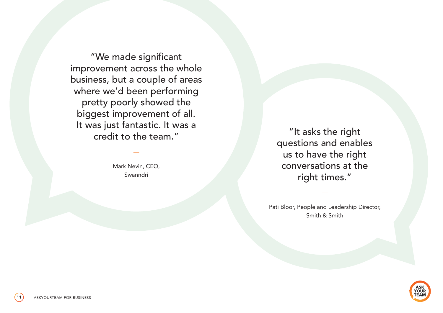"We made significant improvement across the whole business, but a couple of areas where we'd been performing pretty poorly showed the biggest improvement of all. It was just fantastic. It was a credit to the team."

> Mark Nevin, CEO, Swanndri

—

"It asks the right questions and enables us to have the right conversations at the right times."

Pati Bloor, People and Leadership Director, Smith & Smith

—